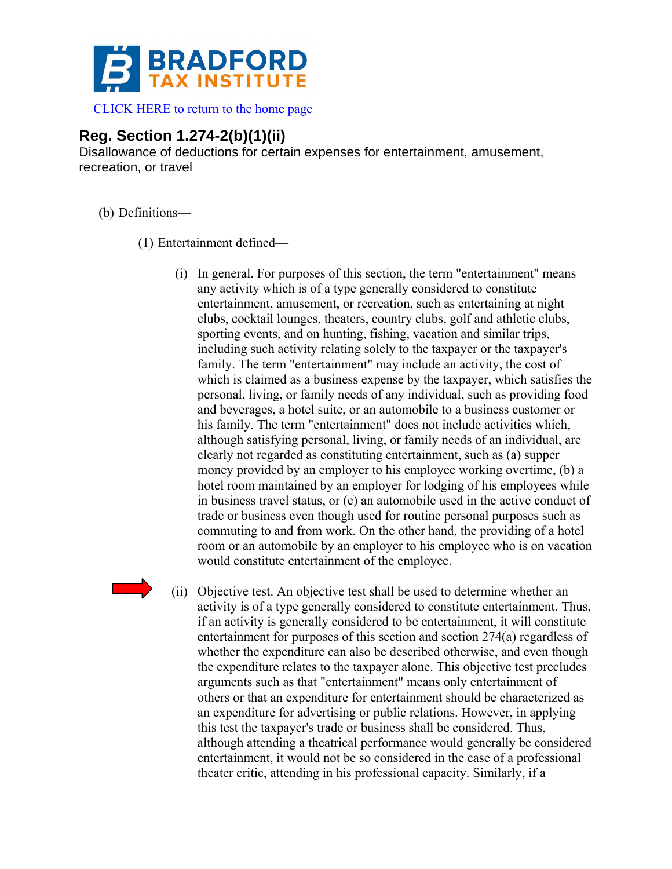

## **Reg. Section 1.274-2(b)(1)(ii)**

Disallowance of deductions for certain expenses for entertainment, amusement, recreation, or travel

- (b) Definitions—
	- (1) Entertainment defined—
		- (i) In general. For purposes of this section, the term "entertainment" means any activity which is of a type generally considered to constitute entertainment, amusement, or recreation, such as entertaining at night clubs, cocktail lounges, theaters, country clubs, golf and athletic clubs, sporting events, and on hunting, fishing, vacation and similar trips, including such activity relating solely to the taxpayer or the taxpayer's family. The term "entertainment" may include an activity, the cost of which is claimed as a business expense by the taxpayer, which satisfies the personal, living, or family needs of any individual, such as providing food and beverages, a hotel suite, or an automobile to a business customer or his family. The term "entertainment" does not include activities which, although satisfying personal, living, or family needs of an individual, are clearly not regarded as constituting entertainment, such as (a) supper money provided by an employer to his employee working overtime, (b) a hotel room maintained by an employer for lodging of his employees while in business travel status, or (c) an automobile used in the active conduct of trade or business even though used for routine personal purposes such as commuting to and from work. On the other hand, the providing of a hotel room or an automobile by an employer to his employee who is on vacation would constitute entertainment of the employee.
		- (ii) Objective test. An objective test shall be used to determine whether an activity is of a type generally considered to constitute entertainment. Thus, if an activity is generally considered to be entertainment, it will constitute entertainment for purposes of this section and section 274(a) regardless of whether the expenditure can also be described otherwise, and even though the expenditure relates to the taxpayer alone. This objective test precludes arguments such as that "entertainment" means only entertainment of others or that an expenditure for entertainment should be characterized as an expenditure for advertising or public relations. However, in applying this test the taxpayer's trade or business shall be considered. Thus, although attending a theatrical performance would generally be considered entertainment, it would not be so considered in the case of a professional theater critic, attending in his professional capacity. Similarly, if a